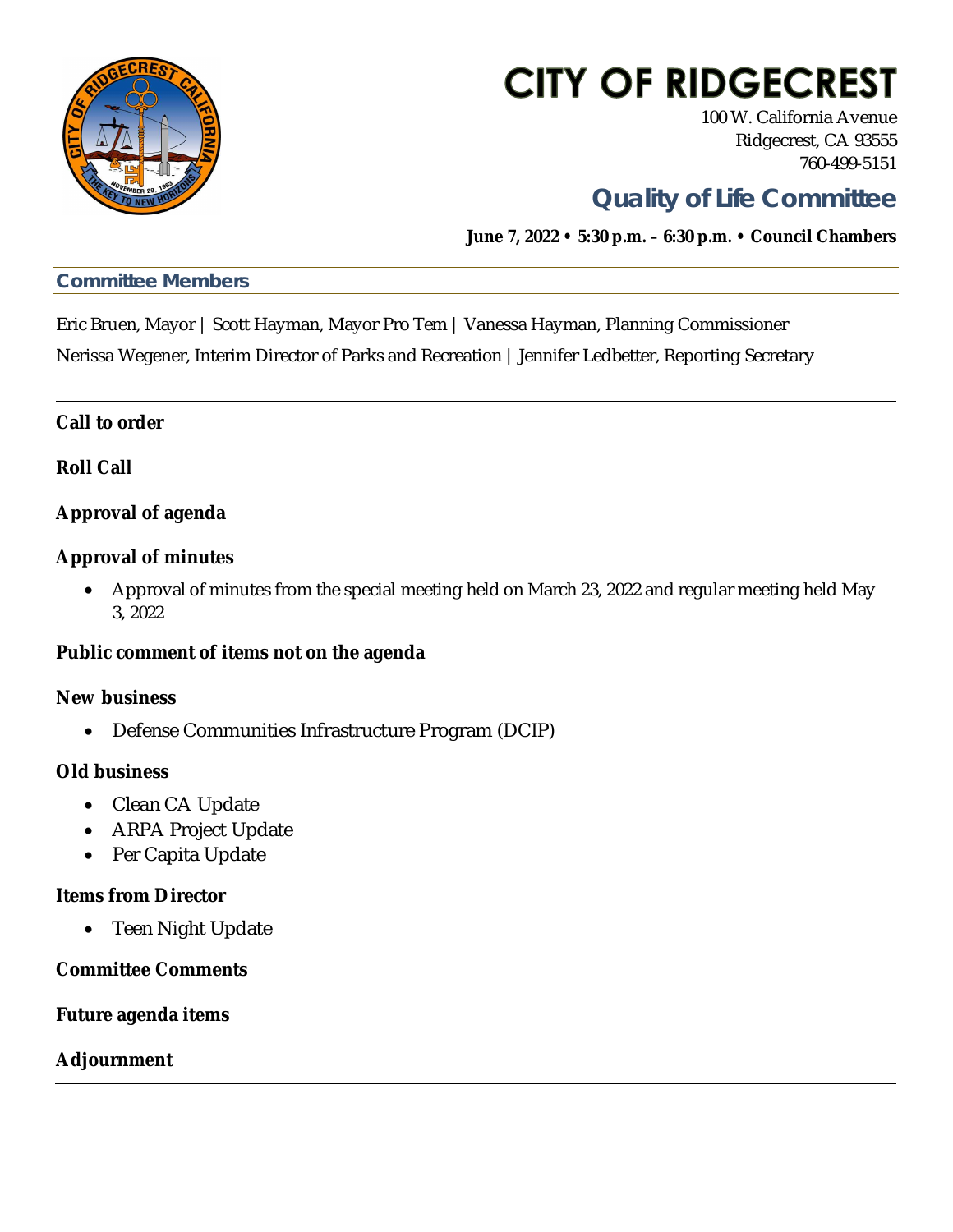

# **CITY OF RIDGECREST**

100 W. California Avenue Ridgecrest, CA 93555 760-499-5151

### **Quality of Life Committee**

**June 7, 2022 • 5:30 p.m. – 6:30 p.m. • Council Chambers**

### *Committee Members*

Eric Bruen, Mayor | Scott Hayman, Mayor Pro Tem | Vanessa Hayman, Planning Commissioner Nerissa Wegener, Interim Director of Parks and Recreation | Jennifer Ledbetter, Reporting Secretary

**Call to order**

**Roll Call**

**Approval of agenda**

**Approval of minutes**

· Approval of minutes from the special meeting held on March 23, 2022 and regular meeting held May 3, 2022

**Public comment of items not on the agenda**

**New business**

· Defense Communities Infrastructure Program (DCIP)

**Old business**

- · Clean CA Update
- · ARPA Project Update
- Per Capita Update

**Items from Director**

• Teen Night Update

**Committee Comments**

**Future agenda items**

**Adjournment**